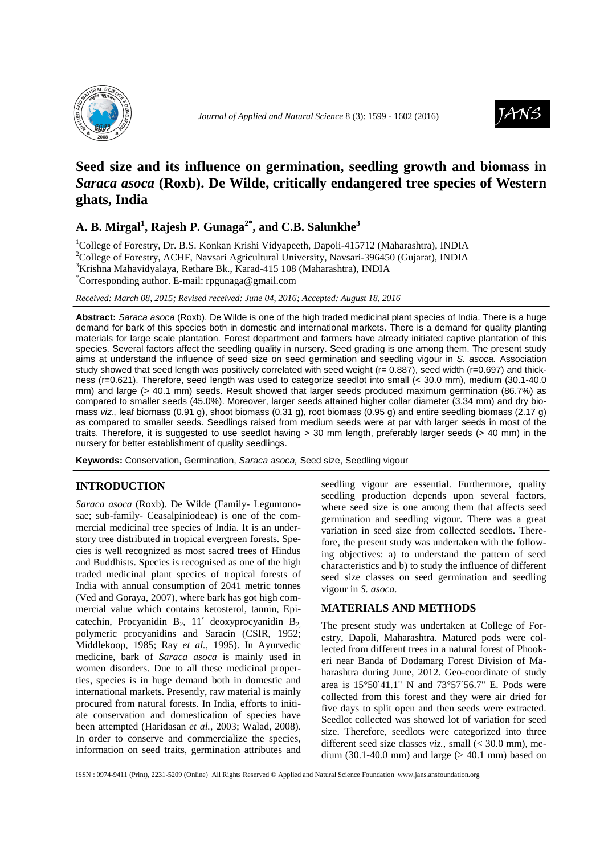



# **Seed size and its influence on germination, seedling growth and biomass in**  *Saraca asoca* **(Roxb). De Wilde, critically endangered tree species of Western ghats, India**

## **A. B. Mirgal<sup>1</sup> , Rajesh P. Gunaga2\*, and C.B. Salunkhe<sup>3</sup>**

<sup>1</sup>College of Forestry, Dr. B.S. Konkan Krishi Vidyapeeth, Dapoli-415712 (Maharashtra), INDIA <sup>2</sup>College of Forestry, ACHF, Navsari Agricultural University, Navsari-396450 (Gujarat), INDIA <sup>3</sup>Krishna Mahavidyalaya, Rethare Bk., Karad-415 108 (Maharashtra), INDIA \*Corresponding author. E-mail: rpgunaga@gmail.com

*Received: March 08, 2015; Revised received: June 04, 2016; Accepted: August 18, 2016*

**Abstract:** Saraca asoca (Roxb). De Wilde is one of the high traded medicinal plant species of India. There is a huge demand for bark of this species both in domestic and international markets. There is a demand for quality planting materials for large scale plantation. Forest department and farmers have already initiated captive plantation of this species. Several factors affect the seedling quality in nursery. Seed grading is one among them. The present study aims at understand the influence of seed size on seed germination and seedling vigour in S. asoca. Association study showed that seed length was positively correlated with seed weight ( $r= 0.887$ ), seed width ( $r=0.697$ ) and thickness (r=0.621). Therefore, seed length was used to categorize seedlot into small (< 30.0 mm), medium (30.1-40.0 mm) and large (> 40.1 mm) seeds. Result showed that larger seeds produced maximum germination (86.7%) as compared to smaller seeds (45.0%). Moreover, larger seeds attained higher collar diameter (3.34 mm) and dry biomass viz., leaf biomass (0.91 g), shoot biomass (0.31 g), root biomass (0.95 g) and entire seedling biomass (2.17 g) as compared to smaller seeds. Seedlings raised from medium seeds were at par with larger seeds in most of the traits. Therefore, it is suggested to use seedlot having > 30 mm length, preferably larger seeds (> 40 mm) in the nursery for better establishment of quality seedlings.

**Keywords:** Conservation, Germination, Saraca asoca, Seed size, Seedling vigour

### **INTRODUCTION**

*Saraca asoca* (Roxb). De Wilde (Family- Legumonosae; sub-family- Ceasalpiniodeae) is one of the commercial medicinal tree species of India. It is an understory tree distributed in tropical evergreen forests. Species is well recognized as most sacred trees of Hindus and Buddhists. Species is recognised as one of the high traded medicinal plant species of tropical forests of India with annual consumption of 2041 metric tonnes (Ved and Goraya, 2007), where bark has got high commercial value which contains ketosterol, tannin, Epicatechin, Procyanidin  $B_2$ , 11' deoxyprocyanidin  $B_2$ , polymeric procyanidins and Saracin (CSIR, 1952; Middlekoop, 1985; Ray *et al.*, 1995). In Ayurvedic medicine, bark of *Saraca asoca* is mainly used in women disorders. Due to all these medicinal properties, species is in huge demand both in domestic and international markets. Presently, raw material is mainly procured from natural forests. In India, efforts to initiate conservation and domestication of species have been attempted (Haridasan *et al.,* 2003; Walad, 2008). In order to conserve and commercialize the species, information on seed traits, germination attributes and

seedling vigour are essential. Furthermore, quality seedling production depends upon several factors, where seed size is one among them that affects seed germination and seedling vigour. There was a great variation in seed size from collected seedlots. Therefore, the present study was undertaken with the following objectives: a) to understand the pattern of seed characteristics and b) to study the influence of different seed size classes on seed germination and seedling vigour in *S. asoca.*

### **MATERIALS AND METHODS**

The present study was undertaken at College of Forestry, Dapoli, Maharashtra. Matured pods were collected from different trees in a natural forest of Phookeri near Banda of Dodamarg Forest Division of Maharashtra during June, 2012. Geo-coordinate of study area is 15°50′41.1" N and 73°57′56.7" E. Pods were collected from this forest and they were air dried for five days to split open and then seeds were extracted. Seedlot collected was showed lot of variation for seed size. Therefore, seedlots were categorized into three different seed size classes *viz.,* small (< 30.0 mm), medium (30.1-40.0 mm) and large ( $> 40.1$  mm) based on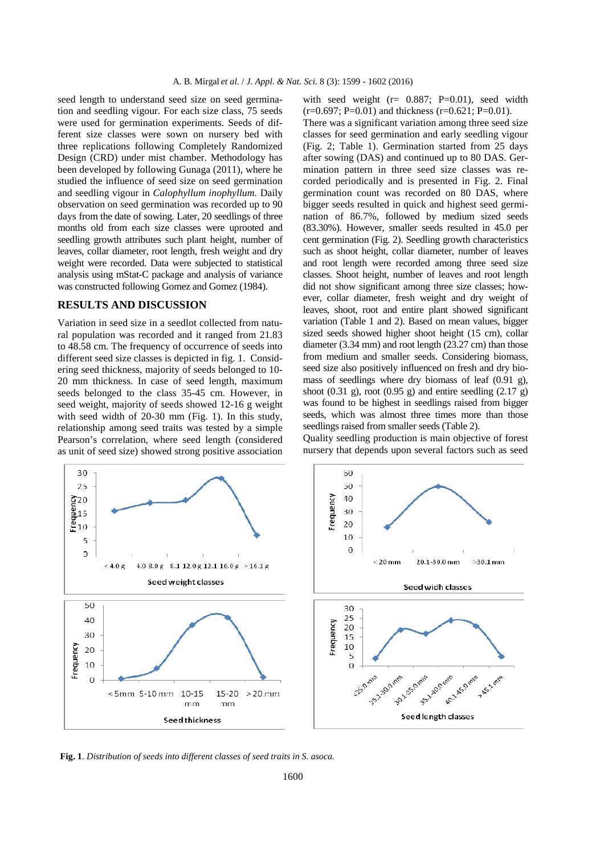seed length to understand seed size on seed germination and seedling vigour. For each size class, 75 seeds were used for germination experiments. Seeds of different size classes were sown on nursery bed with three replications following Completely Randomized Design (CRD) under mist chamber. Methodology has been developed by following Gunaga (2011), where he studied the influence of seed size on seed germination and seedling vigour in *Calophyllum inophyllum.* Daily observation on seed germination was recorded up to 90 days from the date of sowing. Later, 20 seedlings of three months old from each size classes were uprooted and seedling growth attributes such plant height, number of leaves, collar diameter, root length, fresh weight and dry weight were recorded. Data were subjected to statistical analysis using mStat-C package and analysis of variance was constructed following Gomez and Gomez (1984).

### **RESULTS AND DISCUSSION**

Variation in seed size in a seedlot collected from natural population was recorded and it ranged from 21.83 to 48.58 cm. The frequency of occurrence of seeds into different seed size classes is depicted in fig. 1. Considering seed thickness, majority of seeds belonged to 10- 20 mm thickness. In case of seed length, maximum seeds belonged to the class 35-45 cm. However, in seed weight, majority of seeds showed 12-16 g weight with seed width of 20-30 mm (Fig. 1). In this study, relationship among seed traits was tested by a simple Pearson's correlation, where seed length (considered as unit of seed size) showed strong positive association



There was a significant variation among three seed size classes for seed germination and early seedling vigour (Fig. 2; Table 1). Germination started from 25 days after sowing (DAS) and continued up to 80 DAS. Germination pattern in three seed size classes was recorded periodically and is presented in Fig. 2. Final germination count was recorded on 80 DAS, where bigger seeds resulted in quick and highest seed germination of 86.7%, followed by medium sized seeds (83.30%). However, smaller seeds resulted in 45.0 per cent germination (Fig. 2). Seedling growth characteristics such as shoot height, collar diameter, number of leaves and root length were recorded among three seed size classes. Shoot height, number of leaves and root length did not show significant among three size classes; however, collar diameter, fresh weight and dry weight of leaves, shoot, root and entire plant showed significant variation (Table 1 and 2). Based on mean values, bigger sized seeds showed higher shoot height (15 cm), collar diameter (3.34 mm) and root length (23.27 cm) than those from medium and smaller seeds. Considering biomass, seed size also positively influenced on fresh and dry biomass of seedlings where dry biomass of leaf (0.91 g), shoot  $(0.31 \text{ g})$ , root  $(0.95 \text{ g})$  and entire seedling  $(2.17 \text{ g})$ was found to be highest in seedlings raised from bigger seeds, which was almost three times more than those seedlings raised from smaller seeds (Table 2).

Quality seedling production is main objective of forest nursery that depends upon several factors such as seed

60

 $50$ 

Frequency





**Fig. 1**. *Distribution of seeds into different classes of seed traits in S. asoca.*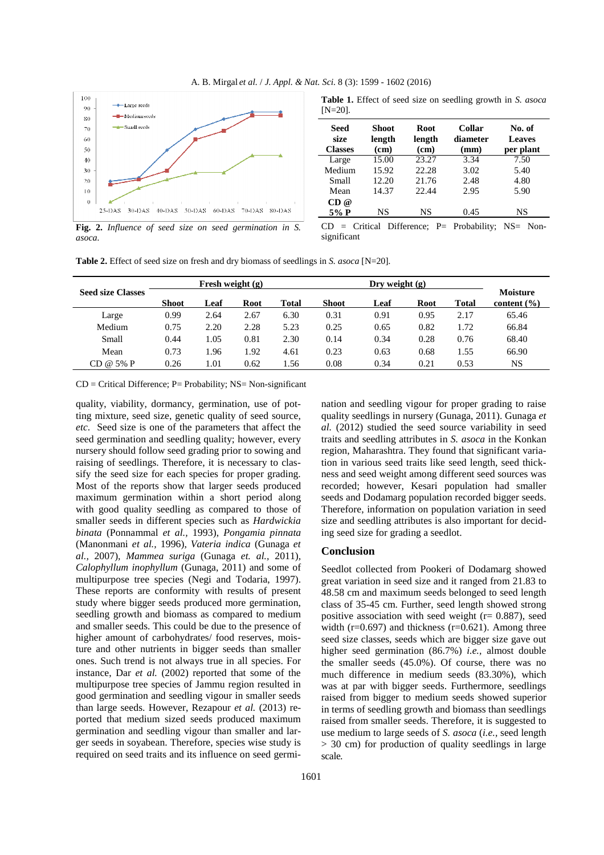

**Table 1.** Effect of seed size on seedling growth in *S. asoca*  [N=20]*.* 

| Seed<br>size<br><b>Classes</b> | Shoot<br>length<br>(cm) | <b>Root</b><br>length<br>(cm) | <b>Collar</b><br>diameter<br>(mm) | No. of<br><b>Leaves</b><br>per plant |  |  |
|--------------------------------|-------------------------|-------------------------------|-----------------------------------|--------------------------------------|--|--|
| Large                          | 15.00                   | 23.27                         | 3.34                              | 7.50                                 |  |  |
| Medium                         | 15.92                   | 22.28                         | 3.02                              | 5.40                                 |  |  |
| Small                          | 12.20                   | 21.76                         | 2.48                              | 4.80                                 |  |  |
| Mean                           | 14.37                   | 22.44                         | 2.95                              | 5.90                                 |  |  |
| CD@                            |                         |                               |                                   |                                      |  |  |
| 5% P                           | NS                      | NS                            | 0.45                              | NS                                   |  |  |
|                                | $C_{\text{tri}}$        | $\mathbf{Diff}_{opson}$<br>D. | $D_{\text{vohoh}}$                | $NC = N_{\alpha n}$                  |  |  |

**Fig. 2.** *Influence of seed size on seed germination in S. asoca.* 

|             |  | $CD = Critical Difference$ ; P= Probability; NS= Non- |  |
|-------------|--|-------------------------------------------------------|--|
| significant |  |                                                       |  |

**Table 2.** Effect of seed size on fresh and dry biomass of seedlings in *S. asoca* [N=20]*.* 

|                          | Fresh weight $(g)$ |      |             | Dry weight $(g)$ |              |      |             |       |                                    |
|--------------------------|--------------------|------|-------------|------------------|--------------|------|-------------|-------|------------------------------------|
| <b>Seed size Classes</b> | <b>Shoot</b>       | Leaf | <b>Root</b> | Total            | <b>Shoot</b> | Leaf | <b>Root</b> | Total | <b>Moisture</b><br>content $(\% )$ |
| Large                    | 0.99               | 2.64 | 2.67        | 6.30             | 0.31         | 0.91 | 0.95        | 2.17  | 65.46                              |
| Medium                   | 0.75               | 2.20 | 2.28        | 5.23             | 0.25         | 0.65 | 0.82        | 1.72  | 66.84                              |
| Small                    | 0.44               | 1.05 | 0.81        | 2.30             | 0.14         | 0.34 | 0.28        | 0.76  | 68.40                              |
| Mean                     | 0.73               | 1.96 | 1.92        | 4.61             | 0.23         | 0.63 | 0.68        | 1.55  | 66.90                              |
| $CD @ 5\% P$             | 0.26               | 1.01 | 0.62        | 1.56             | 0.08         | 0.34 | 0.21        | 0.53  | NS                                 |

 $CD = Critical Difference$ ;  $P = Probability$ ;  $NS = Non-significant$ 

quality, viability, dormancy, germination, use of potting mixture, seed size, genetic quality of seed source, *etc*. Seed size is one of the parameters that affect the seed germination and seedling quality; however, every nursery should follow seed grading prior to sowing and raising of seedlings. Therefore, it is necessary to classify the seed size for each species for proper grading. Most of the reports show that larger seeds produced maximum germination within a short period along with good quality seedling as compared to those of smaller seeds in different species such as *Hardwickia binata* (Ponnammal *et al.,* 1993), *Pongamia pinnata* (Manonmani *et al.,* 1996), *Vateria indica* (Gunaga *et al.,* 2007)*, Mammea suriga* (Gunaga *et. al.,* 2011)*, Calophyllum inophyllum* (Gunaga, 2011) and some of multipurpose tree species (Negi and Todaria, 1997). These reports are conformity with results of present study where bigger seeds produced more germination, seedling growth and biomass as compared to medium and smaller seeds. This could be due to the presence of higher amount of carbohydrates/ food reserves, moisture and other nutrients in bigger seeds than smaller ones. Such trend is not always true in all species. For instance, Dar *et al.* (2002) reported that some of the multipurpose tree species of Jammu region resulted in good germination and seedling vigour in smaller seeds than large seeds. However, Rezapour *et al.* (2013) reported that medium sized seeds produced maximum germination and seedling vigour than smaller and larger seeds in soyabean. Therefore, species wise study is required on seed traits and its influence on seed germi-

nation and seedling vigour for proper grading to raise quality seedlings in nursery (Gunaga, 2011). Gunaga *et al.* (2012) studied the seed source variability in seed traits and seedling attributes in *S. asoca* in the Konkan region, Maharashtra. They found that significant variation in various seed traits like seed length, seed thickness and seed weight among different seed sources was recorded; however, Kesari population had smaller seeds and Dodamarg population recorded bigger seeds. Therefore, information on population variation in seed size and seedling attributes is also important for deciding seed size for grading a seedlot.

#### **Conclusion**

Seedlot collected from Pookeri of Dodamarg showed great variation in seed size and it ranged from 21.83 to 48.58 cm and maximum seeds belonged to seed length class of 35-45 cm. Further, seed length showed strong positive association with seed weight ( $r= 0.887$ ), seed width ( $r=0.697$ ) and thickness ( $r=0.621$ ). Among three seed size classes, seeds which are bigger size gave out higher seed germination (86.7%) *i.e.,* almost double the smaller seeds (45.0%). Of course, there was no much difference in medium seeds (83.30%), which was at par with bigger seeds. Furthermore, seedlings raised from bigger to medium seeds showed superior in terms of seedling growth and biomass than seedlings raised from smaller seeds. Therefore, it is suggested to use medium to large seeds of *S. asoca* (*i.e.,* seed length > 30 cm) for production of quality seedlings in large scale*.*